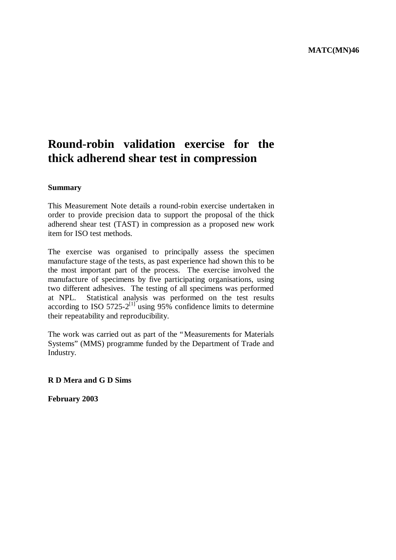# **Round-robin validation exercise for the thick adherend shear test in compression**

#### **Summary**

This Measurement Note details a round-robin exercise undertaken in order to provide precision data to support the proposal of the thick adherend shear test (TAST) in compression as a proposed new work item for ISO test methods.

The exercise was organised to principally assess the specimen manufacture stage of the tests, as past experience had shown this to be the most important part of the process. The exercise involved the manufacture of specimens by five participating organisations, using two different adhesives. The testing of all specimens was performed at NPL. Statistical analysis was performed on the test results according to ISO 5725-2<sup>[1]</sup> using 95% confidence limits to determine their repeatability and reproducibility.

The work was carried out as part of the "Measurements for Materials Systems" (MMS) programme funded by the Department of Trade and Industry.

## **R D Mera and G D Sims**

**February 2003**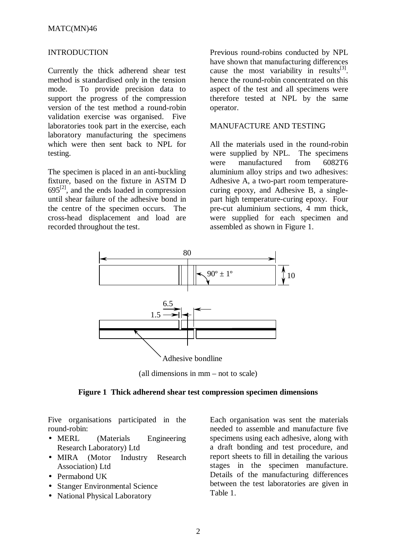#### INTRODUCTION

Currently the thick adherend shear test method is standardised only in the tension mode. To provide precision data to support the progress of the compression version of the test method a round-robin validation exercise was organised. Five laboratories took part in the exercise, each laboratory manufacturing the specimens which were then sent back to NPL for testing.

The specimen is placed in an anti-buckling fixture, based on the fixture in ASTM D  $695^{[2]}$ , and the ends loaded in compression until shear failure of the adhesive bond in the centre of the specimen occurs. The cross-head displacement and load are recorded throughout the test.

Previous round-robins conducted by NPL have shown that manufacturing differences cause the most variability in results<sup>[3]</sup>. hence the round-robin concentrated on this aspect of the test and all specimens were therefore tested at NPL by the same operator.

## MANUFACTURE AND TESTING

All the materials used in the round-robin were supplied by NPL. The specimens were manufactured from 6082T6 aluminium alloy strips and two adhesives: Adhesive A, a two-part room temperaturecuring epoxy, and Adhesive B, a singlepart high temperature-curing epoxy. Four pre-cut aluminium sections, 4 mm thick, were supplied for each specimen and assembled as shown in Figure 1.



(all dimensions in mm – not to scale)

#### **Figure 1 Thick adherend shear test compression specimen dimensions**

Five organisations participated in the round-robin:

- MERL (Materials Engineering Research Laboratory) Ltd
- MIRA (Motor Industry Research Association) Ltd
- Permabond UK
- Stanger Environmental Science
- National Physical Laboratory

Each organisation was sent the materials needed to assemble and manufacture five specimens using each adhesive, along with a draft bonding and test procedure, and report sheets to fill in detailing the various stages in the specimen manufacture. Details of the manufacturing differences between the test laboratories are given in Table 1.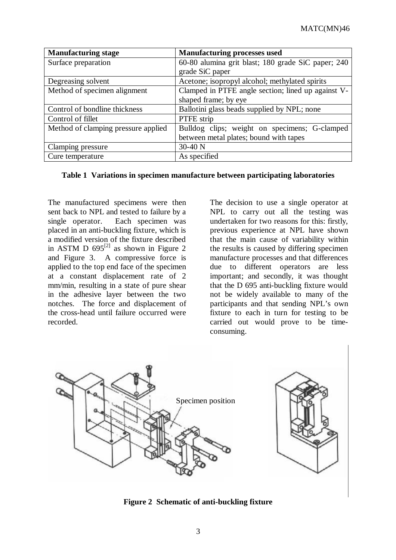| <b>Manufacturing stage</b>          | <b>Manufacturing processes used</b>                |  |  |
|-------------------------------------|----------------------------------------------------|--|--|
| Surface preparation                 | 60-80 alumina grit blast; 180 grade SiC paper; 240 |  |  |
|                                     | grade SiC paper                                    |  |  |
| Degreasing solvent                  | Acetone; isopropyl alcohol; methylated spirits     |  |  |
| Method of specimen alignment        | Clamped in PTFE angle section; lined up against V- |  |  |
|                                     | shaped frame; by eye                               |  |  |
| Control of bondline thickness       | Ballotini glass beads supplied by NPL; none        |  |  |
| Control of fillet                   | PTFE strip                                         |  |  |
| Method of clamping pressure applied | Bulldog clips; weight on specimens; G-clamped      |  |  |
|                                     | between metal plates; bound with tapes             |  |  |
| Clamping pressure                   | 30-40 N                                            |  |  |
| Cure temperature                    | As specified                                       |  |  |

#### **Table 1 Variations in specimen manufacture between participating laboratories**

The manufactured specimens were then sent back to NPL and tested to failure by a single operator. Each specimen was placed in an anti-buckling fixture, which is a modified version of the fixture described in ASTM D  $695^{[2]}$  as shown in Figure 2 and Figure 3. A compressive force is applied to the top end face of the specimen at a constant displacement rate of 2 mm/min, resulting in a state of pure shear in the adhesive layer between the two notches. The force and displacement of the cross-head until failure occurred were recorded.

The decision to use a single operator at NPL to carry out all the testing was undertaken for two reasons for this: firstly, previous experience at NPL have shown that the main cause of variability within the results is caused by differing specimen manufacture processes and that differences due to different operators are less important; and secondly, it was thought that the D 695 anti-buckling fixture would not be widely available to many of the participants and that sending NPL's own fixture to each in turn for testing to be carried out would prove to be timeconsuming.



**Figure 2 Schematic of anti-buckling fixture**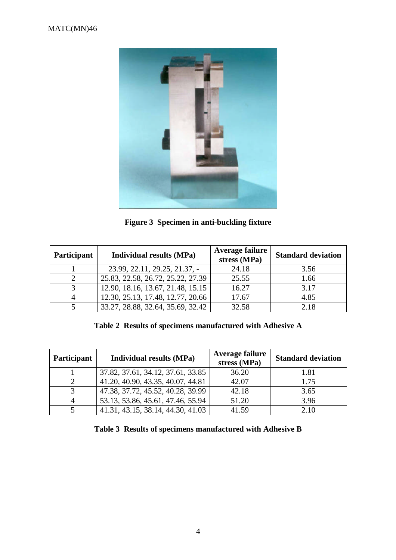

**Figure 3 Specimen in anti-buckling fixture**

| Participant | <b>Individual results (MPa)</b>   | <b>Average failure</b><br>stress (MPa) | <b>Standard deviation</b> |
|-------------|-----------------------------------|----------------------------------------|---------------------------|
|             | 23.99, 22.11, 29.25, 21.37, -     | 24.18                                  | 3.56                      |
|             | 25.83, 22.58, 26.72, 25.22, 27.39 | 25.55                                  | 1.66                      |
|             | 12.90, 18.16, 13.67, 21.48, 15.15 | 16.27                                  | 3.17                      |
|             | 12.30, 25.13, 17.48, 12.77, 20.66 | 17.67                                  | 4.85                      |
|             | 33.27, 28.88, 32.64, 35.69, 32.42 | 32.58                                  | 2.18                      |

**Table 2 Results of specimens manufactured with Adhesive A**

| Participant | <b>Individual results (MPa)</b>   | <b>Average failure</b><br>stress (MPa) | <b>Standard deviation</b> |
|-------------|-----------------------------------|----------------------------------------|---------------------------|
|             | 37.82, 37.61, 34.12, 37.61, 33.85 | 36.20                                  | 1.81                      |
|             | 41.20, 40.90, 43.35, 40.07, 44.81 | 42.07                                  | 1.75                      |
|             | 47.38, 37.72, 45.52, 40.28, 39.99 | 42.18                                  | 3.65                      |
|             | 53.13, 53.86, 45.61, 47.46, 55.94 | 51.20                                  | 3.96                      |
|             | 41.31, 43.15, 38.14, 44.30, 41.03 | 41.59                                  | 2.10                      |

**Table 3 Results of specimens manufactured with Adhesive B**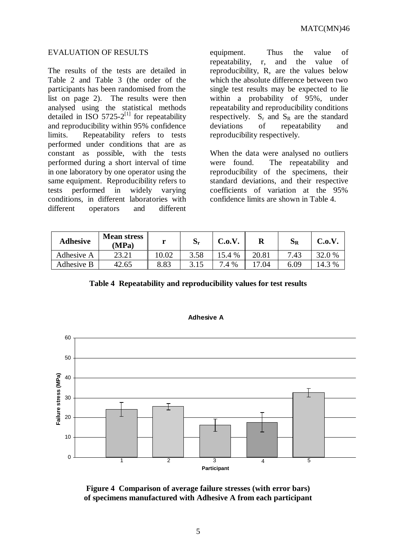#### EVALUATION OF RESULTS

The results of the tests are detailed in Table 2 and Table 3 (the order of the participants has been randomised from the list on page 2). The results were then analysed using the statistical methods detailed in ISO 5725-2 $^{[1]}$  for repeatability and reproducibility within 95% confidence limits. Repeatability refers to tests performed under conditions that are as constant as possible, with the tests performed during a short interval of time in one laboratory by one operator using the same equipment. Reproducibility refers to tests performed in widely varying conditions, in different laboratories with different operators and different

equipment. Thus the value of repeatability, r, and the value of reproducibility, R, are the values below which the absolute difference between two single test results may be expected to lie within a probability of 95%, under repeatability and reproducibility conditions respectively.  $S_r$  and  $S_R$  are the standard deviations of repeatability and reproducibility respectively.

When the data were analysed no outliers were found. The repeatability and reproducibility of the specimens, their standard deviations, and their respective coefficients of variation at the 95% confidence limits are shown in Table 4.

| <b>Adhesive</b> | <b>Mean stress</b><br>(MPa) |       | ιJη  | C.0.V. | R             | ЭR   | C.0.V. |
|-----------------|-----------------------------|-------|------|--------|---------------|------|--------|
| Adhesive A      | 23.21                       | 10.02 | 3.58 | 5.4 %  | 20.81         | 7.43 | 32.0 % |
| Adhesive B      | 42.65                       | 8.83  |      | 7.4 %  | l <b>7.04</b> | 6.09 | 3 %    |

**Table 4 Repeatability and reproducibility values for test results**



**Adhesive A**

**Figure 4 Comparison of average failure stresses (with error bars) of specimens manufactured with Adhesive A from each participant**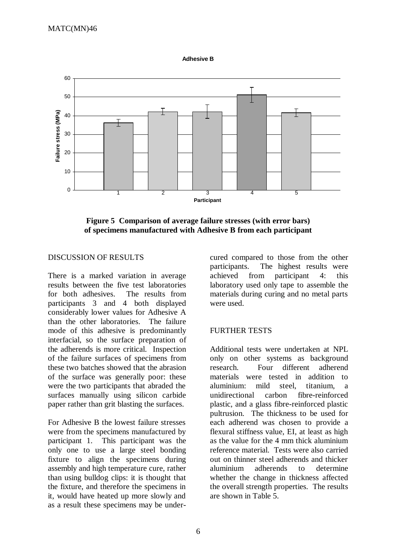



**Figure 5 Comparison of average failure stresses (with error bars) of specimens manufactured with Adhesive B from each participant**

### DISCUSSION OF RESULTS

There is a marked variation in average results between the five test laboratories for both adhesives. The results from participants 3 and 4 both displayed considerably lower values for Adhesive A than the other laboratories. The failure mode of this adhesive is predominantly interfacial, so the surface preparation of the adherends is more critical. Inspection of the failure surfaces of specimens from these two batches showed that the abrasion of the surface was generally poor: these were the two participants that abraded the surfaces manually using silicon carbide paper rather than grit blasting the surfaces.

For Adhesive B the lowest failure stresses were from the specimens manufactured by participant 1. This participant was the only one to use a large steel bonding fixture to align the specimens during assembly and high temperature cure, rather than using bulldog clips: it is thought that the fixture, and therefore the specimens in it, would have heated up more slowly and as a result these specimens may be undercured compared to those from the other participants. The highest results were achieved from participant 4: this laboratory used only tape to assemble the materials during curing and no metal parts were used.

## FURTHER TESTS

Additional tests were undertaken at NPL only on other systems as background research. Four different adherend materials were tested in addition to aluminium: mild steel, titanium, a unidirectional carbon fibre-reinforced plastic, and a glass fibre-reinforced plastic pultrusion. The thickness to be used for each adherend was chosen to provide a flexural stiffness value, EI, at least as high as the value for the 4 mm thick aluminium reference material. Tests were also carried out on thinner steel adherends and thicker aluminium adherends to determine whether the change in thickness affected the overall strength properties. The results are shown in Table 5.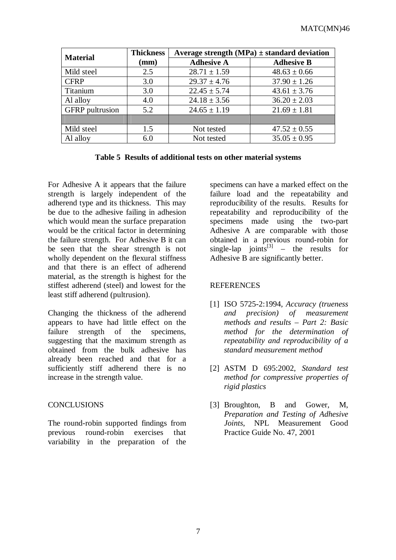| <b>Material</b>        | <b>Thickness</b> | Average strength $(MPa) \pm$ standard deviation |                   |  |
|------------------------|------------------|-------------------------------------------------|-------------------|--|
|                        | (mm)             | <b>Adhesive A</b>                               | <b>Adhesive B</b> |  |
| Mild steel             | 2.5              | $28.71 \pm 1.59$                                | $48.63 \pm 0.66$  |  |
| <b>CFRP</b>            | 3.0              | $29.37 \pm 4.76$                                | $37.90 \pm 1.26$  |  |
| Titanium               | 3.0              | $22.45 \pm 5.74$                                | $43.61 \pm 3.76$  |  |
| Al alloy               | 4.0              | $24.18 \pm 3.56$                                | $36.20 \pm 2.03$  |  |
| <b>GFRP</b> pultrusion | 5.2              | $24.65 \pm 1.19$                                | $21.69 \pm 1.81$  |  |
|                        |                  |                                                 |                   |  |
| Mild steel             | 1.5              | Not tested                                      | $47.52 \pm 0.55$  |  |
| Al alloy               | 6.0              | Not tested                                      | $35.05 \pm 0.95$  |  |

**Table 5 Results of additional tests on other material systems**

For Adhesive A it appears that the failure strength is largely independent of the adherend type and its thickness. This may be due to the adhesive failing in adhesion which would mean the surface preparation would be the critical factor in determining the failure strength. For Adhesive B it can be seen that the shear strength is not wholly dependent on the flexural stiffness and that there is an effect of adherend material, as the strength is highest for the stiffest adherend (steel) and lowest for the least stiff adherend (pultrusion).

Changing the thickness of the adherend appears to have had little effect on the failure strength of the specimens, suggesting that the maximum strength as obtained from the bulk adhesive has already been reached and that for a sufficiently stiff adherend there is no increase in the strength value.

# **CONCLUSIONS**

The round-robin supported findings from previous round-robin exercises that variability in the preparation of the

specimens can have a marked effect on the failure load and the repeatability and reproducibility of the results. Results for repeatability and reproducibility of the specimens made using the two-part Adhesive A are comparable with those obtained in a previous round-robin for single-lap joints<sup>[3]</sup> – the results for Adhesive B are significantly better.

# **REFERENCES**

- [1] ISO 5725-2:1994, *Accuracy (trueness and precision) of measurement methods and results – Part 2: Basic method for the determination of repeatability and reproducibility of a standard measurement method*
- [2] ASTM D 695:2002, *Standard test method for compressive properties of rigid plastics*
- [3] Broughton, B and Gower, M, *Preparation and Testing of Adhesive Joints*, NPL Measurement Good Practice Guide No. 47, 2001